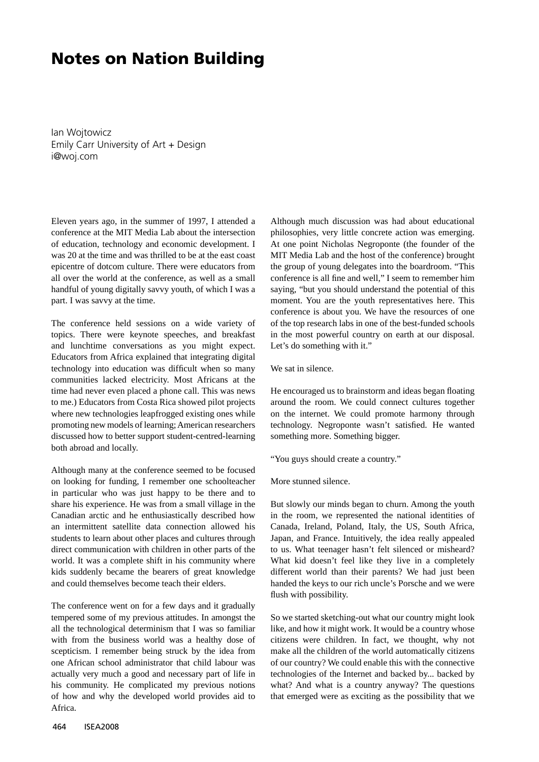## **Notes on Nation Building**

Ian Wojtowicz Emily Carr University of Art + Design i@woj.com

Eleven years ago, in the summer of 1997, I attended a conference at the MIT Media Lab about the intersection of education, technology and economic development. I was 20 at the time and was thrilled to be at the east coast epicentre of dotcom culture. There were educators from all over the world at the conference, as well as a small handful of young digitally savvy youth, of which I was a part. I was savvy at the time.

The conference held sessions on a wide variety of topics. There were keynote speeches, and breakfast and lunchtime conversations as you might expect. Educators from Africa explained that integrating digital technology into education was difficult when so many communities lacked electricity. Most Africans at the time had never even placed a phone call. This was news to me.) Educators from Costa Rica showed pilot projects where new technologies leapfrogged existing ones while promoting new models of learning; American researchers discussed how to better support student-centred-learning both abroad and locally.

Although many at the conference seemed to be focused on looking for funding, I remember one schoolteacher in particular who was just happy to be there and to share his experience. He was from a small village in the Canadian arctic and he enthusiastically described how an intermittent satellite data connection allowed his students to learn about other places and cultures through direct communication with children in other parts of the world. It was a complete shift in his community where kids suddenly became the bearers of great knowledge and could themselves become teach their elders.

The conference went on for a few days and it gradually tempered some of my previous attitudes. In amongst the all the technological determinism that I was so familiar with from the business world was a healthy dose of scepticism. I remember being struck by the idea from one African school administrator that child labour was actually very much a good and necessary part of life in his community. He complicated my previous notions of how and why the developed world provides aid to Africa.

Although much discussion was had about educational philosophies, very little concrete action was emerging. At one point Nicholas Negroponte (the founder of the MIT Media Lab and the host of the conference) brought the group of young delegates into the boardroom. "This conference is all fine and well," I seem to remember him saying, "but you should understand the potential of this moment. You are the youth representatives here. This conference is about you. We have the resources of one of the top research labs in one of the best-funded schools in the most powerful country on earth at our disposal. Let's do something with it."

We sat in silence.

He encouraged us to brainstorm and ideas began floating around the room. We could connect cultures together on the internet. We could promote harmony through technology. Negroponte wasn't satisfied. He wanted something more. Something bigger.

"You guys should create a country."

More stunned silence.

But slowly our minds began to churn. Among the youth in the room, we represented the national identities of Canada, Ireland, Poland, Italy, the US, South Africa, Japan, and France. Intuitively, the idea really appealed to us. What teenager hasn't felt silenced or misheard? What kid doesn't feel like they live in a completely different world than their parents? We had just been handed the keys to our rich uncle's Porsche and we were flush with possibility.

So we started sketching-out what our country might look like, and how it might work. It would be a country whose citizens were children. In fact, we thought, why not make all the children of the world automatically citizens of our country? We could enable this with the connective technologies of the Internet and backed by... backed by what? And what is a country anyway? The questions that emerged were as exciting as the possibility that we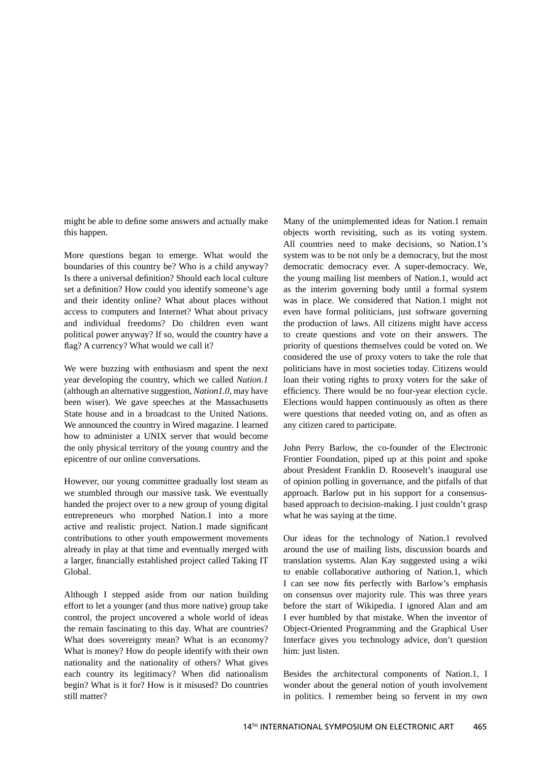might be able to define some answers and actually make this happen.

More questions began to emerge. What would the boundaries of this country be? Who is a child anyway? Is there a universal definition? Should each local culture set a definition? How could you identify someone's age and their identity online? What about places without access to computers and Internet? What about privacy and individual freedoms? Do children even want political power anyway? If so, would the country have a flag? A currency? What would we call it?

We were buzzing with enthusiasm and spent the next year developing the country, which we called *Nation.1* (although an alternative suggestion, *Nation1.0*, may have been wiser). We gave speeches at the Massachusetts State house and in a broadcast to the United Nations. We announced the country in Wired magazine. I learned how to administer a UNIX server that would become the only physical territory of the young country and the epicentre of our online conversations.

However, our young committee gradually lost steam as we stumbled through our massive task. We eventually handed the project over to a new group of young digital entrepreneurs who morphed Nation.1 into a more active and realistic project. Nation.1 made significant contributions to other youth empowerment movements already in play at that time and eventually merged with a larger, financially established project called Taking IT Global.

Although I stepped aside from our nation building effort to let a younger (and thus more native) group take control, the project uncovered a whole world of ideas the remain fascinating to this day. What are countries? What does sovereignty mean? What is an economy? What is money? How do people identify with their own nationality and the nationality of others? What gives each country its legitimacy? When did nationalism begin? What is it for? How is it misused? Do countries still matter?

Many of the unimplemented ideas for Nation.1 remain objects worth revisiting, such as its voting system. All countries need to make decisions, so Nation.1's system was to be not only be a democracy, but the most democratic democracy ever. A super-democracy. We, the young mailing list members of Nation.1, would act as the interim governing body until a formal system was in place. We considered that Nation.1 might not even have formal politicians, just software governing the production of laws. All citizens might have access to create questions and vote on their answers. The priority of questions themselves could be voted on. We considered the use of proxy voters to take the role that politicians have in most societies today. Citizens would loan their voting rights to proxy voters for the sake of efficiency. There would be no four-year election cycle. Elections would happen continuously as often as there were questions that needed voting on, and as often as any citizen cared to participate.

John Perry Barlow, the co-founder of the Electronic Frontier Foundation, piped up at this point and spoke about President Franklin D. Roosevelt's inaugural use of opinion polling in governance, and the pitfalls of that approach. Barlow put in his support for a consensusbased approach to decision-making. I just couldn't grasp what he was saying at the time.

Our ideas for the technology of Nation.1 revolved around the use of mailing lists, discussion boards and translation systems. Alan Kay suggested using a wiki to enable collaborative authoring of Nation.1, which I can see now fits perfectly with Barlow's emphasis on consensus over majority rule. This was three years before the start of Wikipedia. I ignored Alan and am I ever humbled by that mistake. When the inventor of Object-Oriented Programming and the Graphical User Interface gives you technology advice, don't question him: just listen.

Besides the architectural components of Nation.1, I wonder about the general notion of youth involvement in politics. I remember being so fervent in my own